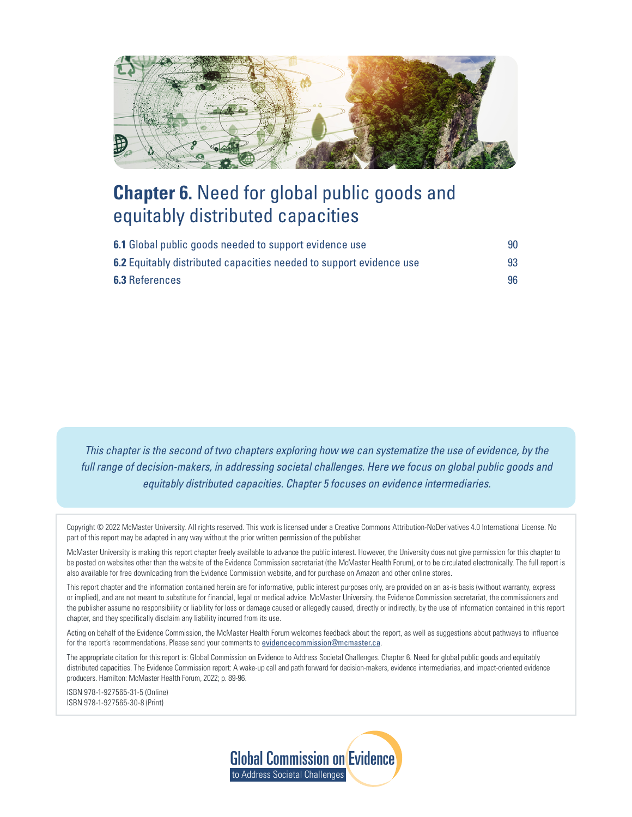<span id="page-0-0"></span>

# **Chapter 6.** Need for global public goods and equitably distributed capacities

| 6.1 Global public goods needed to support evidence use              | 90 |
|---------------------------------------------------------------------|----|
| 6.2 Equitably distributed capacities needed to support evidence use | 93 |
| <b>6.3 References</b>                                               | 96 |

*This chapter is the second of two chapters exploring how we can systematize the use of evidence, by the full range of decision-makers, in addressing societal challenges. Here we focus on global public goods and equitably distributed capacities. Chapter 5 focuses on evidence intermediaries.*

Copyright © 2022 McMaster University. All rights reserved. This work is licensed under a Creative Commons Attribution-NoDerivatives 4.0 International License. No part of this report may be adapted in any way without the prior written permission of the publisher.

McMaster University is making this report chapter freely available to advance the public interest. However, the University does not give permission for this chapter to be posted on websites other than the website of the Evidence Commission secretariat (the McMaster Health Forum), or to be circulated electronically. The full report is also available for free downloading from the Evidence Commission website, and for purchase on Amazon and other online stores.

This report chapter and the information contained herein are for informative, public interest purposes only, are provided on an as-is basis (without warranty, express or implied), and are not meant to substitute for financial, legal or medical advice. McMaster University, the Evidence Commission secretariat, the commissioners and the publisher assume no responsibility or liability for loss or damage caused or allegedly caused, directly or indirectly, by the use of information contained in this report chapter, and they specifically disclaim any liability incurred from its use.

Acting on behalf of the Evidence Commission, the McMaster Health Forum welcomes feedback about the report, as well as suggestions about pathways to influence for the report's recommendations. Please send your comments to *[evidencecommission@mcmaster.ca](mailto:evidencecommission%40mcmaster.ca?subject=)*.

The appropriate citation for this report is: Global Commission on Evidence to Address Societal Challenges. Chapter 6. Need for global public goods and equitably distributed capacities. The Evidence Commission report: A wake-up call and path forward for decision-makers, evidence intermediaries, and impact-oriented evidence producers. Hamilton: McMaster Health Forum, 2022; p. 89-96.

ISBN 978-1-927565-31-5 (Online) ISBN 978-1-927565-30-8 (Print)

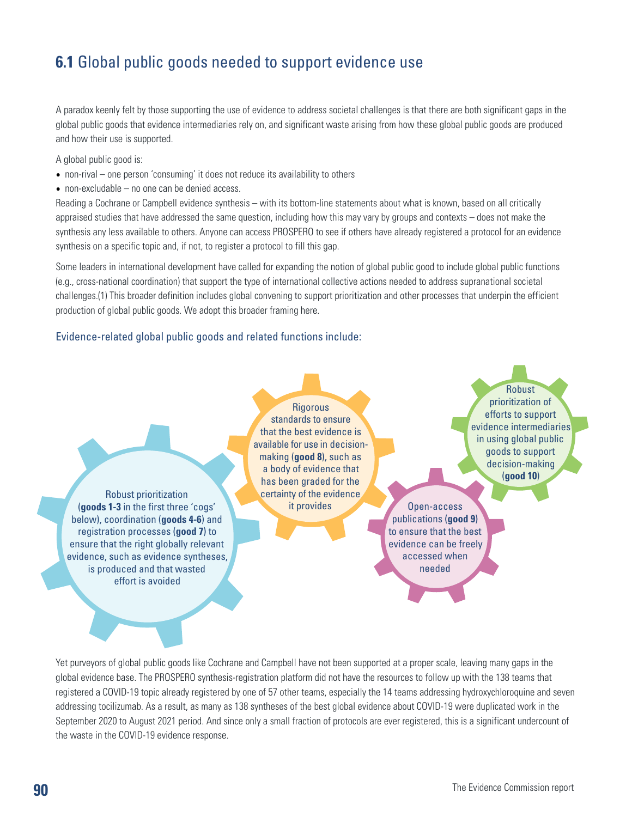## <span id="page-1-0"></span>**6.1** Global public goods needed to support evidence use

A paradox keenly felt by those supporting the use of evidence to address societal challenges is that there are both significant gaps in the global public goods that evidence intermediaries rely on, and significant waste arising from how these global public goods are produced and how their use is supported.

A global public good is:

- non-rival one person 'consuming' it does not reduce its availability to others
- non-excludable no one can be denied access.

Reading a Cochrane or Campbell evidence synthesis – with its bottom-line statements about what is known, based on all critically appraised studies that have addressed the same question, including how this may vary by groups and contexts – does not make the synthesis any less available to others. Anyone can access PROSPERO to see if others have already registered a protocol for an evidence synthesis on a specific topic and, if not, to register a protocol to fill this gap.

Some leaders in international development have called for expanding the notion of global public good to include global public functions (e.g., cross-national coordination) that support the type of international collective actions needed to address supranational societal challenges.(1) This broader definition includes global convening to support prioritization and other processes that underpin the efficient production of global public goods. We adopt this broader framing here.

#### Evidence-related global public goods and related functions include:

**Rigorous** standards to ensure that the best evidence is available for use in decisionmaking (**good 8**), such as a body of evidence that has been graded for the certainty of the evidence it provides Open-access

Robust prioritization (**goods 1-3** in the first three 'cogs' below), coordination (**goods 4-6**) and registration processes (**good 7**) to ensure that the right globally relevant evidence, such as evidence syntheses, is produced and that wasted effort is avoided

Robust prioritization of efforts to support evidence intermediaries in using global public goods to support decision-making (**good 10**)

publications (**good 9**) to ensure that the best evidence can be freely accessed when needed

Yet purveyors of global public goods like Cochrane and Campbell have not been supported at a proper scale, leaving many gaps in the global evidence base. The PROSPERO synthesis-registration platform did not have the resources to follow up with the 138 teams that registered a COVID-19 topic already registered by one of 57 other teams, especially the 14 teams addressing hydroxychloroquine and seven addressing tocilizumab. As a result, as many as 138 syntheses of the best global evidence about COVID-19 were duplicated work in the September 2020 to August 2021 period. And since only a small fraction of protocols are ever registered, this is a significant undercount of the waste in the COVID-19 evidence response.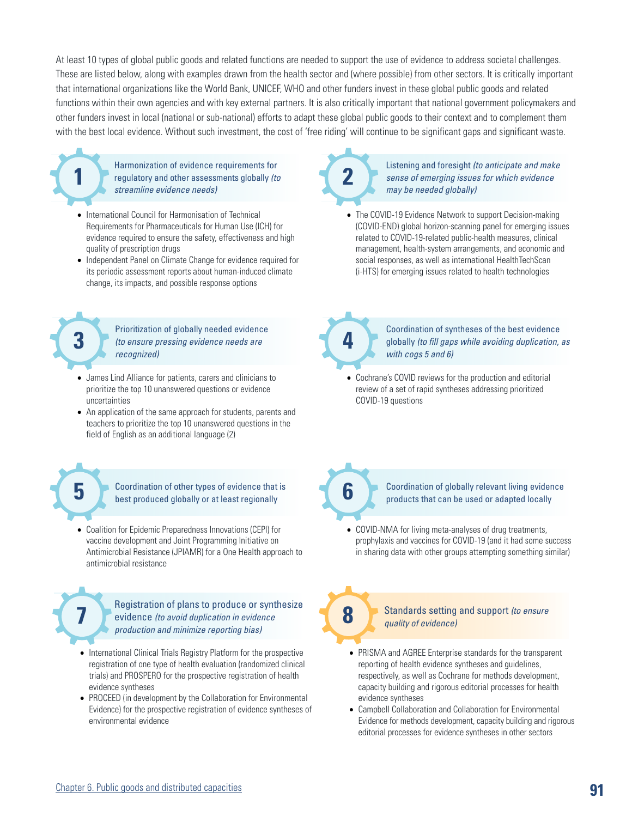At least 10 types of global public goods and related functions are needed to support the use of evidence to address societal challenges. These are listed below, along with examples drawn from the health sector and (where possible) from other sectors. It is critically important that international organizations like the World Bank, UNICEF, WHO and other funders invest in these global public goods and related functions within their own agencies and with key external partners. It is also critically important that national government policymakers and other funders invest in local (national or sub-national) efforts to adapt these global public goods to their context and to complement them with the best local evidence. Without such investment, the cost of 'free riding' will continue to be significant gaps and significant waste.

Harmonization of evidence requirements for regulatory and other assessments globally *(to*  **1 2** *streamline evidence needs)*

- International Council for Harmonisation of Technical Requirements for Pharmaceuticals for Human Use (ICH) for evidence required to ensure the safety, effectiveness and high quality of prescription drugs
- Independent Panel on Climate Change for evidence required for its periodic assessment reports about human-induced climate change, its impacts, and possible response options

Prioritization of globally needed evidence **3** *(to ensure pressing evidence needs are* **<b>4** *recognized)*

- James Lind Alliance for patients, carers and clinicians to prioritize the top 10 unanswered questions or evidence uncertainties
- An application of the same approach for students, parents and teachers to prioritize the top 10 unanswered questions in the field of English as an additional language (2)

Coordination of other types of evidence that is **5 b coordination of other types of evidence that is best produced globally or at least regionally** 

• Coalition for Epidemic Preparedness Innovations (CEPI) for vaccine development and Joint Programming Initiative on Antimicrobial Resistance (JPIAMR) for a One Health approach to antimicrobial resistance

> Registration of plans to produce or synthesize evidence *(to avoid duplication in evidence production and minimize reporting bias)*

- International Clinical Trials Registry Platform for the prospective registration of one type of health evaluation (randomized clinical trials) and PROSPERO for the prospective registration of health evidence syntheses
- PROCEED (in development by the Collaboration for Environmental Evidence) for the prospective registration of evidence syntheses of environmental evidence

### Listening and foresight *(to anticipate and make sense of emerging issues for which evidence may be needed globally)*

• The COVID-19 Evidence Network to support Decision-making (COVID-END) global horizon-scanning panel for emerging issues related to COVID-19-related public-health measures, clinical management, health-system arrangements, and economic and social responses, as well as international HealthTechScan

(i-HTS) for emerging issues related to health technologies



Coordination of syntheses of the best evidence globally *(to fill gaps while avoiding duplication, as with cogs 5 and 6)*

• Cochrane's COVID reviews for the production and editorial review of a set of rapid syntheses addressing prioritized COVID-19 questions

> Coordination of globally relevant living evidence products that can be used or adapted locally

• COVID-NMA for living meta-analyses of drug treatments, prophylaxis and vaccines for COVID-19 (and it had some success in sharing data with other groups attempting something similar)



**7 8** Standards setting and support *(to ensure quality of evidence)*

- PRISMA and AGREE Enterprise standards for the transparent reporting of health evidence syntheses and guidelines, respectively, as well as Cochrane for methods development, capacity building and rigorous editorial processes for health evidence syntheses
- Campbell Collaboration and Collaboration for Environmental Evidence for methods development, capacity building and rigorous editorial processes for evidence syntheses in other sectors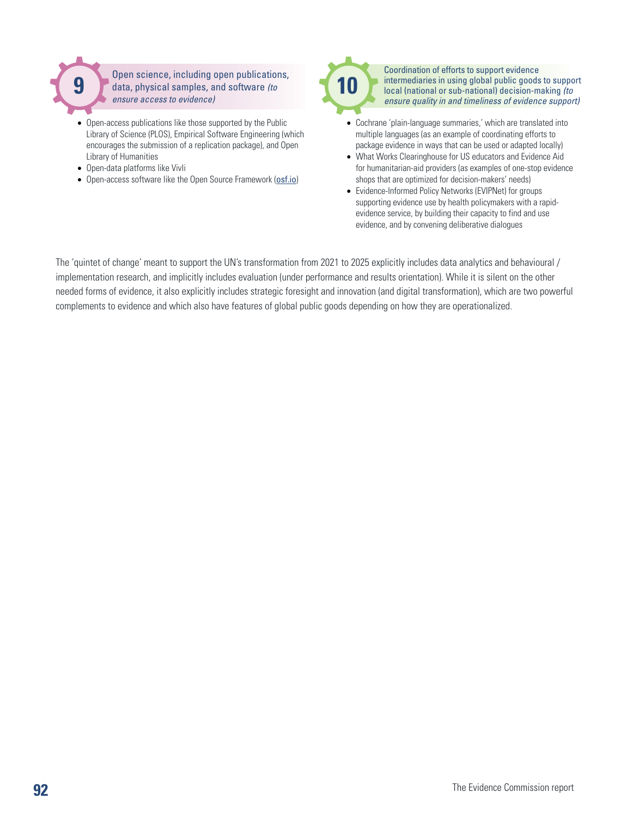

Open science, including open publications, data, physical samples, and software *(to ensure access to evidence)*

- Open-access publications like those supported by the Public Library of Science (PLOS), Empirical Software Engineering (which encourages the submission of a replication package), and Open Library of Humanities
- Open-data platforms like Vivli
- Open-access software like the Open Source Framework ([osf.io](http://osf.io))



Coordination of efforts to support evidence intermediaries in using global public goods to support local (national or sub-national) decision-making *(to ensure quality in and timeliness of evidence support)*

- Cochrane 'plain-language summaries,' which are translated into multiple languages (as an example of coordinating efforts to package evidence in ways that can be used or adapted locally)
- What Works Clearinghouse for US educators and Evidence Aid for humanitarian-aid providers (as examples of one-stop evidence shops that are optimized for decision-makers' needs)
- Evidence-Informed Policy Networks (EVIPNet) for groups supporting evidence use by health policymakers with a rapidevidence service, by building their capacity to find and use evidence, and by convening deliberative dialogues

The 'quintet of change' meant to support the UN's transformation from 2021 to 2025 explicitly includes data analytics and behavioural / implementation research, and implicitly includes evaluation (under performance and results orientation). While it is silent on the other needed forms of evidence, it also explicitly includes strategic foresight and innovation (and digital transformation), which are two powerful complements to evidence and which also have features of global public goods depending on how they are operationalized.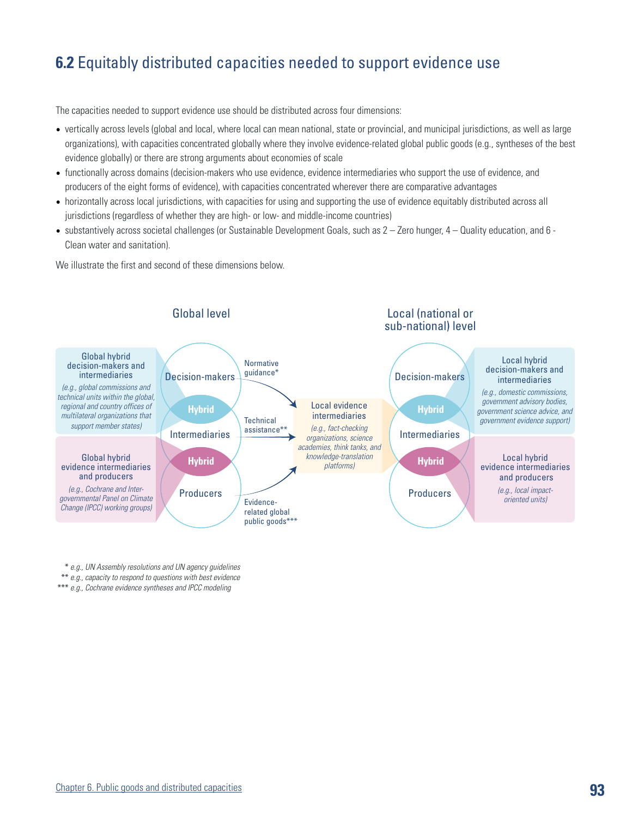## <span id="page-4-0"></span>**6.2** Equitably distributed capacities needed to support evidence use

The capacities needed to support evidence use should be distributed across four dimensions:

- vertically across levels (global and local, where local can mean national, state or provincial, and municipal jurisdictions, as well as large organizations), with capacities concentrated globally where they involve evidence-related global public goods (e.g., syntheses of the best evidence globally) or there are strong arguments about economies of scale
- functionally across domains (decision-makers who use evidence, evidence intermediaries who support the use of evidence, and producers of the eight forms of evidence), with capacities concentrated wherever there are comparative advantages
- horizontally across local jurisdictions, with capacities for using and supporting the use of evidence equitably distributed across all jurisdictions (regardless of whether they are high- or low- and middle-income countries)
- $\bullet$  substantively across societal challenges (or Sustainable Development Goals, such as  $2 -$  Zero hunger,  $4 -$  Quality education, and  $6 -$ Clean water and sanitation).

We illustrate the first and second of these dimensions below.



\* *e.g., UN Assembly resolutions and UN agency guidelines*

\*\* *e.g., capacity to respond to questions with best evidence*

\*\*\* *e.g., Cochrane evidence syntheses and IPCC modeling*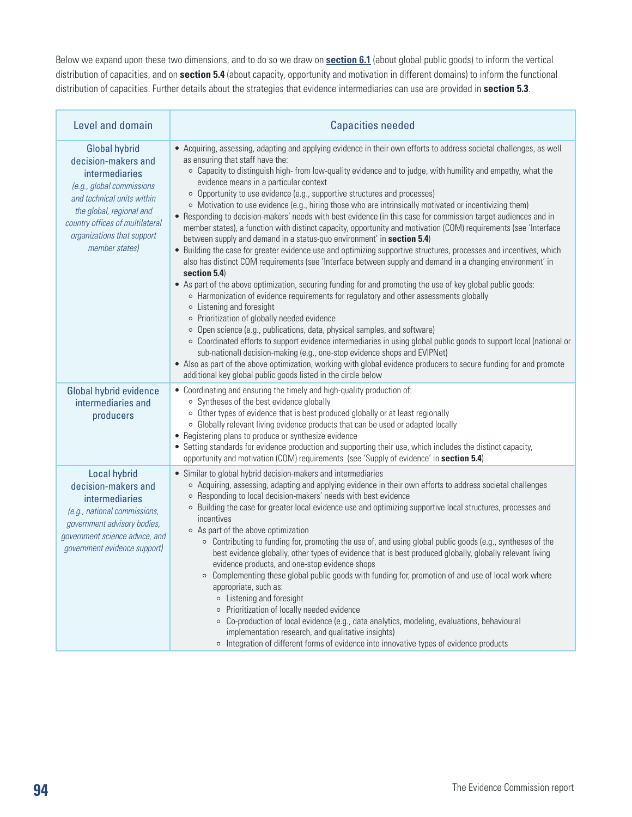Below we expand upon these two dimensions, and to do so we draw on **[section 6.1](#page-1-0)** (about global public goods) to inform the vertical distribution of capacities, and on **section 5.4** (about capacity, opportunity and motivation in different domains) to inform the functional distribution of capacities. Further details about the strategies that evidence intermediaries can use are provided in **section 5.3**.

| Level and domain                                                                                                                                                                                                                        | <b>Capacities needed</b>                                                                                                                                                                                                                                                                                                                                                                                                                                                                                                                                                                                                                                                                                                                                                                                                                                                                                                                                                                                                                                                                                                                                                                                                                                                                                                                                                                                                                                                                                                                                                                                                                                                                                                                                                                                                                   |
|-----------------------------------------------------------------------------------------------------------------------------------------------------------------------------------------------------------------------------------------|--------------------------------------------------------------------------------------------------------------------------------------------------------------------------------------------------------------------------------------------------------------------------------------------------------------------------------------------------------------------------------------------------------------------------------------------------------------------------------------------------------------------------------------------------------------------------------------------------------------------------------------------------------------------------------------------------------------------------------------------------------------------------------------------------------------------------------------------------------------------------------------------------------------------------------------------------------------------------------------------------------------------------------------------------------------------------------------------------------------------------------------------------------------------------------------------------------------------------------------------------------------------------------------------------------------------------------------------------------------------------------------------------------------------------------------------------------------------------------------------------------------------------------------------------------------------------------------------------------------------------------------------------------------------------------------------------------------------------------------------------------------------------------------------------------------------------------------------|
| <b>Global hybrid</b><br>decision-makers and<br>intermediaries<br>(e.g., global commissions<br>and technical units within<br>the global, regional and<br>country offices of multilateral<br>organizations that support<br>member states) | • Acquiring, assessing, adapting and applying evidence in their own efforts to address societal challenges, as well<br>as ensuring that staff have the:<br>o Capacity to distinguish high- from low-quality evidence and to judge, with humility and empathy, what the<br>evidence means in a particular context<br>o Opportunity to use evidence (e.g., supportive structures and processes)<br>o Motivation to use evidence (e.g., hiring those who are intrinsically motivated or incentivizing them)<br>• Responding to decision-makers' needs with best evidence (in this case for commission target audiences and in<br>member states), a function with distinct capacity, opportunity and motivation (COM) requirements (see 'Interface<br>between supply and demand in a status-quo environment' in section 5.4)<br>• Building the case for greater evidence use and optimizing supportive structures, processes and incentives, which<br>also has distinct COM requirements (see 'Interface between supply and demand in a changing environment' in<br>section 5.4)<br>• As part of the above optimization, securing funding for and promoting the use of key global public goods:<br>o Harmonization of evidence requirements for regulatory and other assessments globally<br>o Listening and foresight<br>o Prioritization of globally needed evidence<br>○ Open science (e.g., publications, data, physical samples, and software)<br>o Coordinated efforts to support evidence intermediaries in using global public goods to support local (national or<br>sub-national) decision-making (e.g., one-stop evidence shops and EVIPNet)<br>• Also as part of the above optimization, working with global evidence producers to secure funding for and promote<br>additional key global public goods listed in the circle below |
| Global hybrid evidence<br>intermediaries and<br>producers                                                                                                                                                                               | • Coordinating and ensuring the timely and high-quality production of:<br>○ Syntheses of the best evidence globally<br>o Other types of evidence that is best produced globally or at least regionally<br>o Globally relevant living evidence products that can be used or adapted locally<br>• Registering plans to produce or synthesize evidence<br>• Setting standards for evidence production and supporting their use, which includes the distinct capacity,<br>opportunity and motivation (COM) requirements (see 'Supply of evidence' in section 5.4)                                                                                                                                                                                                                                                                                                                                                                                                                                                                                                                                                                                                                                                                                                                                                                                                                                                                                                                                                                                                                                                                                                                                                                                                                                                                              |
| Local hybrid<br>decision-makers and<br>intermediaries<br>(e.g., national commissions,<br>government advisory bodies,<br>government science advice, and<br>government evidence support)                                                  | • Similar to global hybrid decision-makers and intermediaries<br>o Acquiring, assessing, adapting and applying evidence in their own efforts to address societal challenges<br>○ Responding to local decision-makers' needs with best evidence<br>o Building the case for greater local evidence use and optimizing supportive local structures, processes and<br>incentives<br>○ As part of the above optimization<br>• Contributing to funding for, promoting the use of, and using global public goods (e.g., syntheses of the<br>best evidence globally, other types of evidence that is best produced globally, globally relevant living<br>evidence products, and one-stop evidence shops<br>○ Complementing these global public goods with funding for, promotion of and use of local work where<br>appropriate, such as:<br>o Listening and foresight<br>o Prioritization of locally needed evidence<br>○ Co-production of local evidence (e.g., data analytics, modeling, evaluations, behavioural<br>implementation research, and qualitative insights)<br>o Integration of different forms of evidence into innovative types of evidence products                                                                                                                                                                                                                                                                                                                                                                                                                                                                                                                                                                                                                                                                               |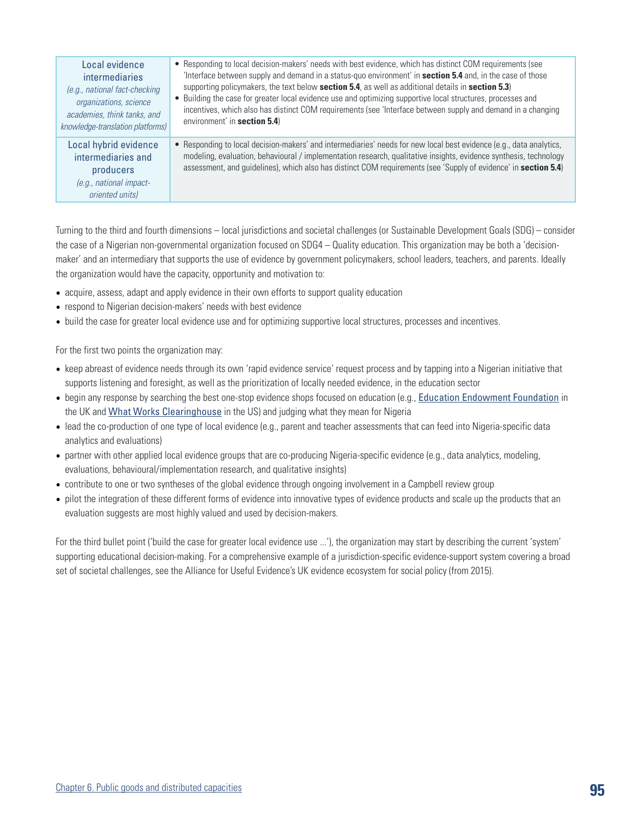| Local evidence                                                                                           | • Responding to local decision-makers' needs with best evidence, which has distinct COM requirements (see                                                                                                                                                                                                                                                   |
|----------------------------------------------------------------------------------------------------------|-------------------------------------------------------------------------------------------------------------------------------------------------------------------------------------------------------------------------------------------------------------------------------------------------------------------------------------------------------------|
| <i>intermediaries</i>                                                                                    | 'Interface between supply and demand in a status-quo environment' in <b>section 5.4</b> and, in the case of those                                                                                                                                                                                                                                           |
| (e.g., national fact-checking                                                                            | supporting policymakers, the text below section 5.4, as well as additional details in section 5.3)                                                                                                                                                                                                                                                          |
| organizations, science                                                                                   | • Building the case for greater local evidence use and optimizing supportive local structures, processes and                                                                                                                                                                                                                                                |
| academies, think tanks, and                                                                              | incentives, which also has distinct COM requirements (see 'Interface between supply and demand in a changing                                                                                                                                                                                                                                                |
| knowledge-translation platforms)                                                                         | environment' in section 5.4)                                                                                                                                                                                                                                                                                                                                |
| Local hybrid evidence<br>intermediaries and<br>producers<br>$(e.g.,$ national impact-<br>oriented units) | • Responding to local decision-makers' and intermediaries' needs for new local best evidence (e.g., data analytics,<br>modeling, evaluation, behavioural / implementation research, qualitative insights, evidence synthesis, technology<br>assessment, and guidelines), which also has distinct COM requirements (see 'Supply of evidence' in section 5.4) |

Turning to the third and fourth dimensions – local jurisdictions and societal challenges (or Sustainable Development Goals (SDG) – consider the case of a Nigerian non-governmental organization focused on SDG4 – Quality education. This organization may be both a 'decisionmaker' and an intermediary that supports the use of evidence by government policymakers, school leaders, teachers, and parents. Ideally the organization would have the capacity, opportunity and motivation to:

- acquire, assess, adapt and apply evidence in their own efforts to support quality education
- respond to Nigerian decision-makers' needs with best evidence
- build the case for greater local evidence use and for optimizing supportive local structures, processes and incentives.

For the first two points the organization may:

- keep abreast of evidence needs through its own 'rapid evidence service' request process and by tapping into a Nigerian initiative that supports listening and foresight, as well as the prioritization of locally needed evidence, in the education sector
- begin any response by searching the best one-stop evidence shops focused on education (e.g., [Education Endowment Foundation](https://educationendowmentfoundation.org.uk/) in the UK and [What Works Clearinghouse](https://ies.ed.gov/ncee/wwc/) in the US) and judging what they mean for Nigeria
- lead the co-production of one type of local evidence (e.g., parent and teacher assessments that can feed into Nigeria-specific data analytics and evaluations)
- partner with other applied local evidence groups that are co-producing Nigeria-specific evidence (e.g., data analytics, modeling, evaluations, behavioural/implementation research, and qualitative insights)
- contribute to one or two syntheses of the global evidence through ongoing involvement in a Campbell review group
- pilot the integration of these different forms of evidence into innovative types of evidence products and scale up the products that an evaluation suggests are most highly valued and used by decision-makers.

For the third bullet point ('build the case for greater local evidence use ...'), the organization may start by describing the current 'system' supporting educational decision-making. For a comprehensive example of a jurisdiction-specific evidence-support system covering a broad set of societal challenges, see the Alliance for Useful Evidence's UK evidence ecosystem for social policy (from 2015).